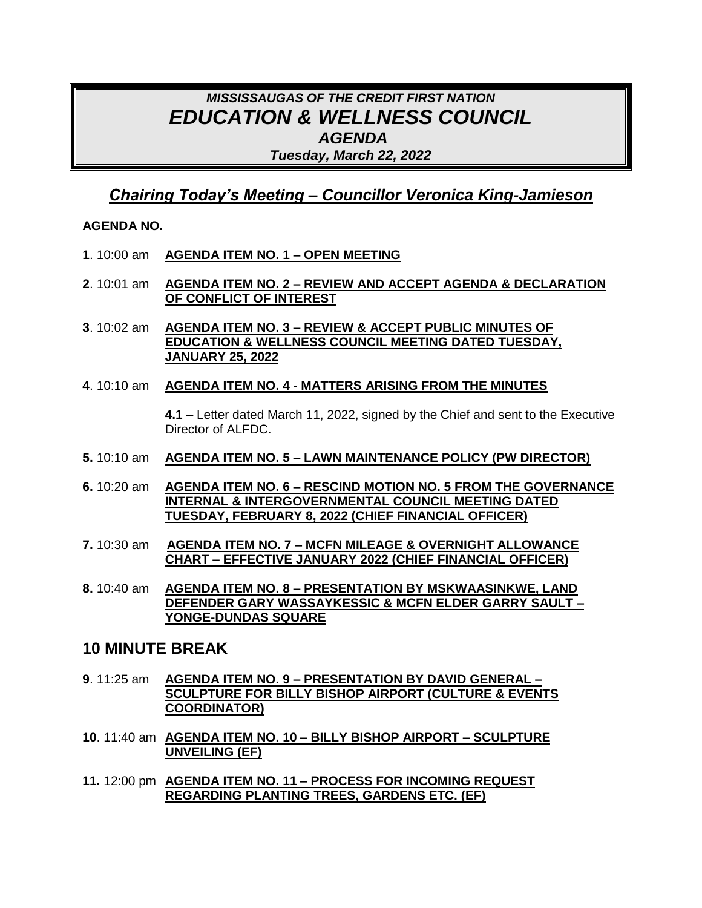# *MISSISSAUGAS OF THE CREDIT FIRST NATION EDUCATION & WELLNESS COUNCIL AGENDA Tuesday, March 22, 2022*

## *Chairing Today's Meeting – Councillor Veronica King-Jamieson*

#### **AGENDA NO.**

- **1**. 10:00 am **AGENDA ITEM NO. 1 – OPEN MEETING**
- **2**. 10:01 am **AGENDA ITEM NO. 2 – REVIEW AND ACCEPT AGENDA & DECLARATION OF CONFLICT OF INTEREST**
- **3**. 10:02 am **AGENDA ITEM NO. 3 – REVIEW & ACCEPT PUBLIC MINUTES OF EDUCATION & WELLNESS COUNCIL MEETING DATED TUESDAY, JANUARY 25, 2022**
- **4**. 10:10 am **AGENDA ITEM NO. 4 - MATTERS ARISING FROM THE MINUTES**

**4.1** – Letter dated March 11, 2022, signed by the Chief and sent to the Executive Director of ALFDC.

- **5.** 10:10 am **AGENDA ITEM NO. 5 – LAWN MAINTENANCE POLICY (PW DIRECTOR)**
- **6.** 10:20 am **AGENDA ITEM NO. 6 – RESCIND MOTION NO. 5 FROM THE GOVERNANCE INTERNAL & INTERGOVERNMENTAL COUNCIL MEETING DATED TUESDAY, FEBRUARY 8, 2022 (CHIEF FINANCIAL OFFICER)**
- **7.** 10:30 am **AGENDA ITEM NO. 7 – MCFN MILEAGE & OVERNIGHT ALLOWANCE CHART – EFFECTIVE JANUARY 2022 (CHIEF FINANCIAL OFFICER)**
- **8.** 10:40 am **AGENDA ITEM NO. 8 – PRESENTATION BY MSKWAASINKWE, LAND DEFENDER GARY WASSAYKESSIC & MCFN ELDER GARRY SAULT – YONGE-DUNDAS SQUARE**

### **10 MINUTE BREAK**

- **9**. 11:25 am **AGENDA ITEM NO. 9 – PRESENTATION BY DAVID GENERAL – SCULPTURE FOR BILLY BISHOP AIRPORT (CULTURE & EVENTS COORDINATOR)**
- **10**. 11:40 am **AGENDA ITEM NO. 10 – BILLY BISHOP AIRPORT – SCULPTURE UNVEILING (EF)**
- **11.** 12:00 pm **AGENDA ITEM NO. 11 – PROCESS FOR INCOMING REQUEST REGARDING PLANTING TREES, GARDENS ETC. (EF)**